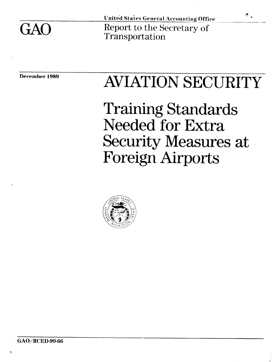GAO

United States General Accounting Office Report to the Secretary of Transportation

# December 1989 AVIATION SECURITY

r J

Training Standards Needed for Extra Security Measures at Foreign Airports

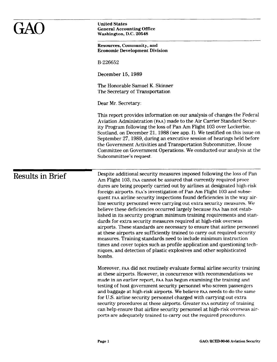|                  | <b>United States</b><br><b>General Accounting Office</b><br>Washington, D.C. 20548                                                                                                                                                                                                                                                                                                                                                                                                                                                                                                                                                                                                                                                                                                                                                                                                                                                                                                                                                                                         |
|------------------|----------------------------------------------------------------------------------------------------------------------------------------------------------------------------------------------------------------------------------------------------------------------------------------------------------------------------------------------------------------------------------------------------------------------------------------------------------------------------------------------------------------------------------------------------------------------------------------------------------------------------------------------------------------------------------------------------------------------------------------------------------------------------------------------------------------------------------------------------------------------------------------------------------------------------------------------------------------------------------------------------------------------------------------------------------------------------|
|                  | Resources, Community, and<br><b>Economic Development Division</b>                                                                                                                                                                                                                                                                                                                                                                                                                                                                                                                                                                                                                                                                                                                                                                                                                                                                                                                                                                                                          |
|                  | B-226652                                                                                                                                                                                                                                                                                                                                                                                                                                                                                                                                                                                                                                                                                                                                                                                                                                                                                                                                                                                                                                                                   |
|                  | December 15, 1989                                                                                                                                                                                                                                                                                                                                                                                                                                                                                                                                                                                                                                                                                                                                                                                                                                                                                                                                                                                                                                                          |
|                  | The Honorable Samuel K. Skinner<br>The Secretary of Transportation                                                                                                                                                                                                                                                                                                                                                                                                                                                                                                                                                                                                                                                                                                                                                                                                                                                                                                                                                                                                         |
|                  | Dear Mr. Secretary:                                                                                                                                                                                                                                                                                                                                                                                                                                                                                                                                                                                                                                                                                                                                                                                                                                                                                                                                                                                                                                                        |
|                  | This report provides information on our analysis of changes the Federal<br>Aviation Administration (FAA) made to the Air Carrier Standard Secur-<br>ity Program following the loss of Pan Am Flight 103 over Lockerbie,<br>Scotland, on December 21, 1988 (see app. I). We testified on this issue on<br>September 27, 1989, during an executive session of hearings held before<br>the Government Activities and Transportation Subcommittee, House<br>Committee on Government Operations. We conducted our analysis at the<br>Subcommittee's request.                                                                                                                                                                                                                                                                                                                                                                                                                                                                                                                    |
| Results in Brief | Despite additional security measures imposed following the loss of Pan<br>Am Flight 103, FAA cannot be assured that currently required proce-<br>dures are being properly carried out by airlines at designated high-risk<br>foreign airports. FAA's investigation of Pan Am Flight 103 and subse-<br>quent FAA airline security inspections found deficiencies in the way air-<br>line security personnel were carrying out extra security measures. We<br>believe these deficiencies occurred largely because FAA has not estab-<br>lished in its security program minimum training requirements and stan-<br>dards for extra security measures required at high-risk overseas<br>airports. These standards are necessary to ensure that airline personnel<br>at these airports are sufficiently trained to carry out required security<br>measures. Training standards need to include minimum instruction<br>times and cover topics such as profile application and questioning tech-<br>niques, and detection of plastic explosives and other sophisticated<br>bombs. |
|                  | Moreover, FAA did not routinely evaluate formal airline security training<br>at these airports. However, in concurrence with recommendations we<br>made in an earlier report, FAA has begun examining the training and<br>testing of host government security personnel who screen passengers<br>and baggage at high-risk airports. We believe FAA needs to do the same<br>for U.S. airline security personnel charged with carrying out extra<br>security procedures at these airports. Greater FAA scrutiny of training<br>can help ensure that airline security personnel at high-risk overseas air-<br>ports are adequately trained to carry out the required procedures.                                                                                                                                                                                                                                                                                                                                                                                              |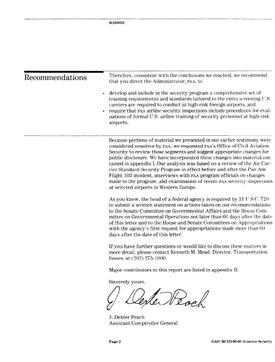| Recommendations | Therefore, consistent with the conclusions we reached, we recommend<br>that you direct the Administrator, FAA, to                                                                                                                                                                                                                                                                                                                                                                                                                                                                                                                                           |  |
|-----------------|-------------------------------------------------------------------------------------------------------------------------------------------------------------------------------------------------------------------------------------------------------------------------------------------------------------------------------------------------------------------------------------------------------------------------------------------------------------------------------------------------------------------------------------------------------------------------------------------------------------------------------------------------------------|--|
|                 | develop and include in the security program a comprehensive set of<br>training requirements and standards tailored to the extra screening $US$ .<br>carriers are required to conduct at high-risk foreign airports, and<br>require that FAA airline security inspections include procedures for eval-<br>uations of formal U.S. airline training of security personnel at high-risk<br>airports.                                                                                                                                                                                                                                                            |  |
|                 | Because portions of material we presented in our earlier testimony were<br>considered sensitive by FAA, we requested FAA's Office of Civil Aviation<br>Security to review those segments and suggest appropriate changes for<br>public disclosure. We have incorporated these changes into material con-<br>tained in appendix I. Our analysis was based on a review of the Air Car-<br>rier Standard Security Program in effect before and after the Pan Am<br>Flight 103 incident, interviews with FAA program officials on changes<br>made to the program, and examination of recent FAA security inspections<br>at selected airports in Western Europe. |  |
|                 | As you know, the head of a federal agency is required by 31 U.S.C. 720<br>to submit a written statement on actions taken on our recommendations<br>to the Senate Committee on Governmental Affairs and the House Com-<br>mittee on Governmental Operations not later than 60 days after the date<br>of this letter and to the House and Senate Committees on Appropriations<br>with the agency's first request for appropriations made more than $60$<br>days after the date of this letter.                                                                                                                                                                |  |
|                 | If you have further questions or would like to discuss these matters in<br>more detail, please contact Kenneth M. Mead, Director, Transportation<br>Issues, at (202) 275-1000.                                                                                                                                                                                                                                                                                                                                                                                                                                                                              |  |
|                 | Major contributors to this report are listed in appendix II.                                                                                                                                                                                                                                                                                                                                                                                                                                                                                                                                                                                                |  |
|                 | Sincerely yours,                                                                                                                                                                                                                                                                                                                                                                                                                                                                                                                                                                                                                                            |  |
|                 | J. Dexter Peach                                                                                                                                                                                                                                                                                                                                                                                                                                                                                                                                                                                                                                             |  |

Assistant Comptroller General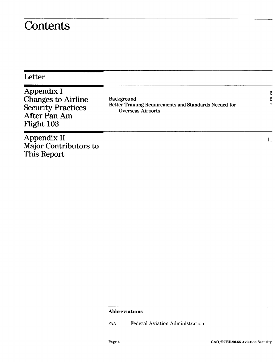### **Contents**

| Letter                                                                                               |                                                                                                 |        |
|------------------------------------------------------------------------------------------------------|-------------------------------------------------------------------------------------------------|--------|
| Appendix I<br><b>Changes to Airline</b><br><b>Security Practices</b><br>After Pan Am<br>Flight $103$ | Background<br>Better Training Requirements and Standards Needed for<br><b>Overseas Airports</b> | 6<br>6 |
| Appendix II<br>Major Contributors to<br>This Report                                                  |                                                                                                 | 11     |

#### Abbreviations

FAA Federal Aviation Administration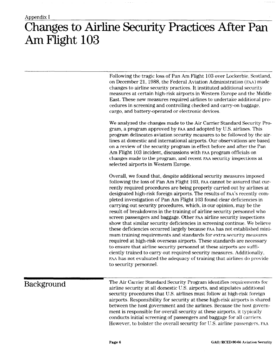## Changes to Airline Security Practices After Pan Am Flight 103

Following the tragic loss of Pan Am Flight 103 over Lockerbie, Scotland, on December 21, 1988, the Federal Aviation Administration (FAA) made changes to airline security practices. It instituted additional security measures at certain high-risk airports in Western Europe and the Middle East. These new measures required airlines to undertake additional procedures in screening and controlling checked and carry-on baggage, cargo, and battery-operated or electronic devices.

We analyzed the changes made to the Air Carrier Standard Security Program, a program approved by FAA and adopted by U.S. airlines. This program delineates aviation security measures to be followed by the airlines at domestic and international airports. Our observations are based on a review of the security program in effect before and after the Pan Am Flight 103 incident, discussions with FAA program officials on changes made to the program, and recent FAA security inspections at selected airports in Western Europe.

Overall, we found that, despite additional security measures imposed following the loss of Pan Am Flight 103, FAA cannot be assured that currently required procedures are being properly carried out by airlines at designated high-risk foreign airports. The results of FAA'S recently completed investigation of Pan Am Flight 103 found clear deficiencies in carrying out security procedures, which, in our opinion, may be the result of breakdowns in the training of airline security personnel who screen passengers and baggage. Other FAA airline security inspections show that similar security deficiencies in screening continue. We believe these deficiencies occurred largely because FAA has not established minimum training requirements and standards for extra security measures required at high-risk overseas airports. These standards are necessary to ensure that airline security personnel at these airports are sufficiently trained to carry out required security measures. Additionally, FAA has not evaluated the adequacy of training that airlines do provide to security personnel.

Background The Air Carrier Standard Security Program identifies requirements for airline security at all domestic U.S. airports, and stipulates additional security procedures that U.S. airlines must follow at high-risk foreign airports. Responsibility for security at these high-risk airports is shared between the host government and the airlines. Because the host government is responsible for overall security at these airports, it typically conducts initial screening of passengers and baggage for all carriers. However, to bolster the overall security for U.S. airline passengers, FAA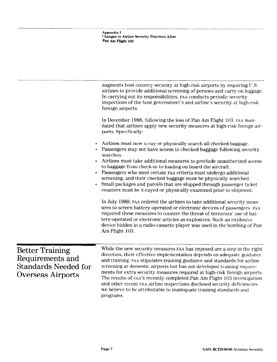Appendix I Changes to Airline Security Practices After pan Am Flight 103

|                                                                                                | augments host country security at high-risk airports by requiring U.S.<br>airlines to provide additional screening of persons and carry-on luggage.<br>In carrying out its responsibilities, FAA conducts periodic security<br>inspections of the host government's and airline's security at high-risk<br>foreign airports.<br>In December 1988, following the loss of Pan Am Flight 103, FAA man-<br>dated that airlines apply new security measures at high-risk foreign air-<br>ports. Specifically:                                                                                                                                                                                                                                                                                                                                                                                                                                                                                        |
|------------------------------------------------------------------------------------------------|-------------------------------------------------------------------------------------------------------------------------------------------------------------------------------------------------------------------------------------------------------------------------------------------------------------------------------------------------------------------------------------------------------------------------------------------------------------------------------------------------------------------------------------------------------------------------------------------------------------------------------------------------------------------------------------------------------------------------------------------------------------------------------------------------------------------------------------------------------------------------------------------------------------------------------------------------------------------------------------------------|
| $\bullet$<br>$\bullet$<br>$\bullet$                                                            | Airlines must now x-ray or physically search all checked baggage.<br>Passengers may not have access to checked baggage following security<br>searches.<br>Airlines must take additional measures to preclude unauthorized access<br>to baggage from check-in to loading on board the aircraft.<br>Passengers who meet certain FAA criteria must undergo additional<br>screening, and their checked baggage must be physically searched.<br>Small packages and parcels that are shipped through passenger ticket<br>counters must be x-rayed or physically examined prior to shipment.<br>In July 1989, FAA ordered the airlines to take additional security meas-<br>ures to screen battery-operated or electronic devices of passengers. FAA<br>required these measures to counter the threat of terrorists' use of bat-<br>tery-operated or electronic articles as explosives. Such an explosive<br>device hidden in a radio-cassette player was used in the bombing of Pan<br>Am Flight 103. |
| <b>Better Training</b><br>Requirements and<br><b>Standards Needed for</b><br>Overseas Airports | While the new security measures FAA has imposed are a step in the right<br>direction, their effective implementation depends on adequate guidance<br>and training. FAA stipulates training guidance and standards for airline<br>screening at domestic airports but has not developed training require-<br>ments for extra security measures required at high-risk foreign airports.<br>The results of FAA's recently completed Pan Am Flight 103 investigation<br>and other recent FAA airline inspections disclosed security deficiencies<br>we believe to be attributable to inadequate training standards and<br>programs.                                                                                                                                                                                                                                                                                                                                                                  |

-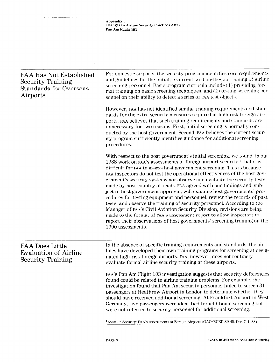Appendix I Changes to Airline Security Practices After Pan Am Flight 103 FAA Has Not Established Security Training Standards for Overseas Airports For domestic airports, the security program identifies core requirements and guidelines for the initial, recurrent, and on-the-job training of airline screening personnel. Basic program curricula include (1) providing forma1 training on basic screening techniques, and (2) testing screening personnel on their ability to detect a series of FAA test objects. However, FAA has not identified similar training requirements and standards for the extra security measures required at high-risk foreign airports. FAA believes that such training requirements and standards are unnecessary for two reasons. First, initial screening is normally conducted by the host government. Second, FAA believes the current security program sufficiently identifies guidance for additional screening procedures. With respect to the host government's initial screening, we found, in our 1988 work on FAA's assessments of foreign airport security,' that it is difficult for FAA to assess host government screening. This is because FAA inspectors do not test the operational effectiveness of the host government's security systems nor observe and evaluate the security tests made by host country officials. FAA agreed with our findings and, subject to host government approval, will examine host governments' procedures for testing equipment and personnel, review the records of past tests, and observe the training of security personnel. According to the Manager of FAA's Civil Aviation Security Division, revisions are being made to the format of FAA'S assessment report to allow inspectors to report their observations of host governments' screening training on the 1990 assessments. FAA Does Little Evaluation of Airline Security Training In the absence of specific training requirements and standards, the airlines have developed their own training programs for screening at designated high-risk foreign airports. FAA, however, does not routinely evaluate formal airline security training at these airports. FAA's Pan Am Flight 103 investigation suggests that security deficiencies found could be related to airline training problems. For example, the investigation found that Pan Am security personnel failed to screen 3 1 passengers at Heathrow Airport in London to determine whether they should have received additional screening. At Frankfurt Airport in West Germany, five passengers were identified for additional screening but were not referred to security personnel for additional screening.

<sup>1</sup> Aviation Security: FAA's Assessments of Foreign Airports (GAO/RCED-89-45. Dec. 7, 1988).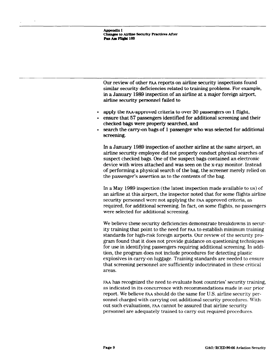**Appendix I Changes to Airline Security Practices After** Pan Am Flight 103

Our review of other FAA reports on airline security inspections found similar security deficiencies related to training problems. For example, in a January 1989 inspection of an airline at a major foreign airport, airline security personnel failed to

- apply the FAA-approved criteria to over 30 passengers on 1 flight,
- . ensure that 57 passengers identified for additional screening and their checked bags were properly searched, and
- search the carry-on bags of 1 passenger who was selected for additional screening.

In a January 1989 inspection of another airline at the same airport, an airline security employee did not properly conduct physical searches of suspect checked bags. One of the suspect bags contained an electronic device with wires attached and was seen on the x-ray monitor. Instead of performing a physical search of the bag, the screener merely relied on the passenger's assertion as to the contents of the bag.

In a May 1989 inspection (the latest inspection made available to us) of an airline at this airport, the inspector noted that for some flights airline security personnel were not applying the FAA approved criteria, as required, for additional screening. In fact, on some flights, no passengers were selected for additional screening.

We believe these security deficiencies demonstrate breakdowns in security training that point to the need for FAA to establish minimum training standards for high-risk foreign airports. Our review of the security program found that it does not provide guidance on questioning techniques for use in identifying passengers requiring additional screening. In addition, the program does not include procedures for detecting plastic explosives in carry-on luggage. Training standards are needed to ensure that screening personnel are sufficiently indoctrinated in these critical areas.

FAA has recognized the need to evaluate host countries' security training, as indicated in its concurrence with recommendations made in our prior report. We believe FAA should do the same for U.S. airline security personnel charged with carrying out additional security procedures. Without such evaluations, FAA cannot be assured that airline security personnel are adequately trained to carry out required procedures.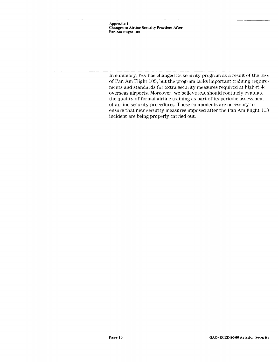Appendix I Changes to Airline Security Practices After Pan Am Flight 103

In summary, FAA has changed its security program as a result of the loss of Pan Am Flight 103, but the program lacks important training requircments and standards for extra security measures required at high-risk overseas airports. Moreover, we believe FAA should routinely evaluate the quality of formal airline training as part of its periodic assessment of airline security procedures. These components are necessary to ensure that new security measures imposed after the Pan Am Flight 103 incident are being properly carried out.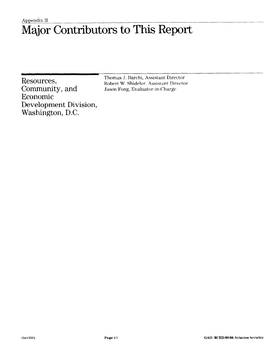### Appendix II Major Contributors to This Report

Community, and .Jason Fong, Evaluator-in-Charge Economic Development Division, Washington, D.C.

Resources, Thomas J. Barchi, Assistant Director<br>Robert W. Shideler, Assistant Director